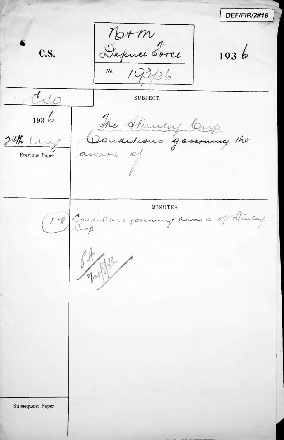**DEF/FIR/2#16** Norm<br>Depuis Sarce C.S.  $1936$  $193/36$  $N<sub>0</sub>$ .  $\sim$ SUBJECT.  $1936$ The Stanley Cup<br>Conditions governing the 24th Crup Previous Paper. MINUTES. 1-8 Conditions forerung award of Hailey Subsequent Paper.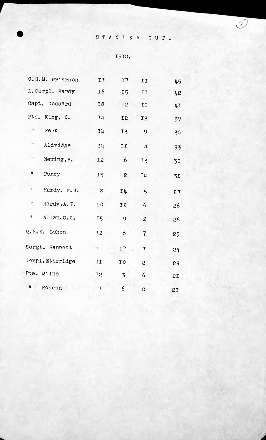## STANLEY CUP.

### 1918.

| C.S.M. Grierson        | I7             | 17             | II               | 45 |
|------------------------|----------------|----------------|------------------|----|
| L.Corpl. Hardy         | 16             | I5             | II               | 42 |
| Capt. Goddard          | 18             | <b>I2</b>      | II               | 4I |
| Pte. King, O.          | 14             | I <sub>2</sub> | $I\bar{3}$       | 39 |
| П.<br>Peck             | <b>I4</b>      | $I\bar{3}$     | 9                | 36 |
| Ħ<br>Aldridge          | 14             | II             | $\boldsymbol{s}$ | 33 |
| Ħ<br>Newing, H.        | <b>I2</b>      | 6              | $I\bar{z}$       | 31 |
| #<br>Perry             | 15             | 2              | <b>I4</b>        | 31 |
| Ħ<br>Hardy, F.J.       | 8              | $I\mu$         | 5                | 27 |
| 17<br>Hardy, A. P.     | IO             | IO             | 6                | 26 |
| 11<br>Allan, C. G.     | I <sub>5</sub> | 9              | 2                | 26 |
| Q.M.S. Lehen           | 12             | 6              | $\overline{7}$   | 25 |
| Sergt. Bennett         |                | 17             | 7                | 24 |
| Corpl.Etheridge        | IJ             | I O            | 2                | 23 |
| Pte. Milne             | I <sub>2</sub> | $\overline{5}$ | 6                | 21 |
| $\mathbf{u}$<br>Robson | $\overline{7}$ | 6              | g                | 2I |

*A*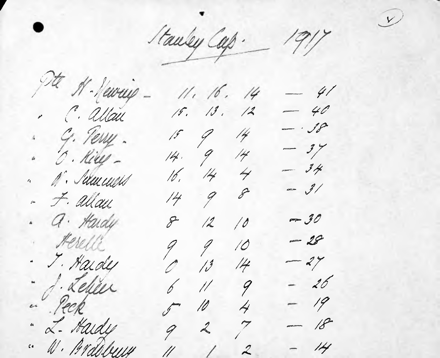Stauley Cap. 1917

 $\bigcup$ 

It & Newcip - $11.16.14$  $-41$  $-40$  $19.13.12$ . C. allau  $-18$ . G. Terry.  $15$   $9$  14  $-3y$  $14.914$ " O. Kill - $16.144$  $-34$ " A'. Selement  $=$  3/  $\mathscr{S}$  $14 9$ - F. allau . a. Hardy  $-30$  $8 - 12$ 10 · Herelle  $-28$  $99$ 10 - J. Hardy  $\mathcal{O}$  13  $-27$  $14$ · d'élève  $-26$  $6$   $11$  9 " Peck  $504$  $-19$ " L. Hardy  $-18$  $927$ " W. Ardobury  $-14$  $\frac{1}{2}$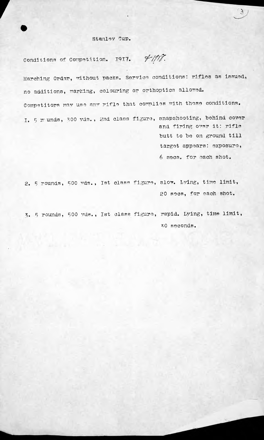#### Stanley Cup.

**r** 3

Conditions of Competition. 1917. **4-1918**. Marching Order, without packs. Service conditions: rifles as issued, no additions, marking, colouring or orthoptics allowed. Competitors may use any rifle that complies with these conditions. I. 5  $x$  unds, 300 yds., 2nd class figure, snapshooting, behind cover and firing over it: rifle butt to bo on ground till targot appears: exposure, <sup>6</sup> sees, for each shot.

2. 5 rounds, 500 yds., Ist class figure, slow. Lying, time limit, 20 sees, for each shot.

3. 5 rounds, 500 yds., Ist class figure, rapid. Lying, time limit, 30 seconds.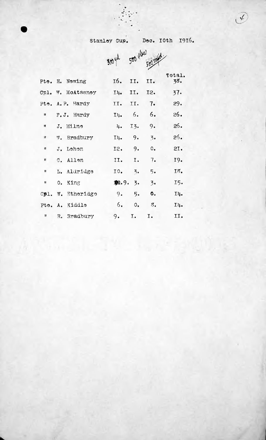# Stanley Cup. Dec. 10th 1916.

|              |                   | 3004   |                  | 500 class society       |               |
|--------------|-------------------|--------|------------------|-------------------------|---------------|
|              | Pte. H. Newing    |        | 16. II.          | II.                     | Total.<br>38. |
|              | Cpl. W. McAtasnoy |        | $I4.$ II.        | I2.                     | 37.           |
|              | Pte. A. P. Hardy  | II.    | II. 7.           |                         | 29.           |
| П            | F.J. Hardy        |        | $I\downarrow$ 6. | 6.                      | 26.           |
| Ħ            | J. Milne          | 4.1    | I3.              | 9.                      | 26.           |
| $\mathbf{H}$ | W. Bradbury       | I4.9.  |                  | $\overline{3}$ .        | 26.           |
| и            | J. Lehen          | 12. 9. |                  | 0.                      | 21.           |
| 8            | C. Allen          | II.    | I.               | 7.                      | 19.           |
| 11           | L. Aldridge       | IO.    | $\overline{z}$ . | 5.                      | 18.           |
| 11           | 0. King           | 22.9.5 |                  | $\overline{3}$ .        | I5.           |
|              | Cpl. W. Etheridge | 9.     | 5.               | Ô.                      | $I\mu$ .      |
|              | Pte. A. Kiddle    | 6.     | $\circ$ .        | $\mathcal{Z}_{\bullet}$ | I4.           |
|              | " R. Bradbury     | 9.     | $I_{\bullet}$    | I.                      | II.           |

 $\chi$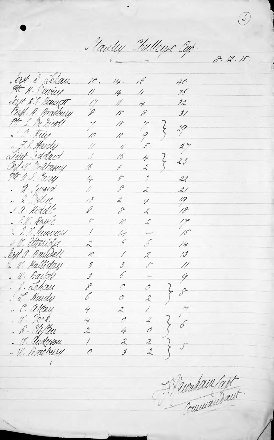Fauley Challeuse Exp.

8.12.15.

ert d'éleur  $\sqrt{2}$  $16$  $14.$ 40 Ptt N. Peurius  $14$  $\mu$  $36<sup>2</sup>$ 11 olist N.E. Bauett  $\overline{1}$  $^{\prime\prime}$  $\mathcal{Z}^{\prime\prime}_{\sim}$  $\overline{\gamma}$ Corfl. R. Bradbury  $\mathscr{D}$  $\mathscr{E}$  $3/$  $15$  $\frac{M}{l}$  $\overline{\phantom{a}}$  $/5$  $\zeta$  $\sqrt[2]{3}$ " " Kill  $\frac{1}{\sqrt{2}}$ 9 10 . F.S. Hardy  $2^y$  $\mathscr{I}$  $\frac{1}{2}$  $\frac{1}{2}$ ateut inddaud  $\mathcal{J}$ 16  $\not\!\!\neq$  $\zeta$  $23$ Coll & "eatarey  $\hat{A}$ 16  $\mathscr{G}$ PE A.S. Early  $22$  $1/4$  $\hat{z}$  $\hat{f}$ " A. Lurrid  $\beta$  $\frac{1}{2}$  $\mathcal{Z}$  $2/$  $\sqrt{3}$  $\mathcal{Z}$ 4 19 . 1. Kiddle  $18 \mathscr{L}$  $\mathscr{S}$  $\mathcal{Z}$ . P.H. Rayle  $\frac{1}{15}$  $\oint$  $\ell$  $\mathcal{L}$ " E. F. Semunds  $\sqrt{2}$  $\overline{\phantom{a}}$  $/$ " V. Etteride  $\mathcal{L}$  $\tilde{2}$  $\tilde{\mathcal{A}}$  $/4$ ert a. Bruidell  $/3$  $\mathcal{Z}$  $10<sup>°</sup>$ Γ . 11. Hallislay  $\mathcal{S}$  $\widehat{\mathscr{J}}$ J.  $\frac{\sqrt{2}}{2}$ . W. Ballay 6  $\hat{\jmath}$  $\overline{\mathscr{S}}$ . L. Lehan  $\mathcal{E}$  $\mathcal{O}$  $\mathcal{O}$ . a. Hardy 6  $\hat{\mathcal{L}}$ 0 . C. allow  $\frac{1}{\sqrt{2}}$  $\stackrel{\rightarrow}{\sim}$  $\frac{1}{2}$  $\tilde{ }$  $u: \mathbb{R}^k$  $\left\{ \right.$  $\overline{4}$  $\mathcal{A}$  $\mathcal{Z}_{\mathcal{A}}$  $\acute{\phi}$  $\overline{\mathcal{O}}$ - h - Ulftru 4  $\mathcal{L}$  $\frac{2}{2}$ . W. Undwou  $\overline{1}$  $\tilde{\Lambda}$ . U. Bradberry  $\overline{\mathcal{I}}$  $\bigwedge$ 

El surdam latt Commandant.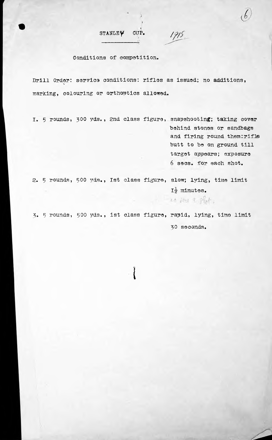STANLEY GUP.  $19/5$ 

#### Conditions of competition.

Drill Order: service conditions: rifles as issued; no additions, marking, colouring or orthoptics allowed.

/

I. 5 rounds, 300 yds., 2nd class figure, snapshootin<mark>g; ta</mark>king cover behind stones or sandbags and firing round them: rifls butt to be on ground till target appears; exposure <sup>6</sup> secs, for each shot.

2. 5 rounds, 500 yds., Ist class figure, slow; lying, time limit  $I_2^1$  minutes. 20 fees a glor.

3. <sup>3</sup> rounds, <sup>500</sup> yds • *<sup>j</sup>* ist class figure, rapid, lying, time limit 30 seconds.

**1**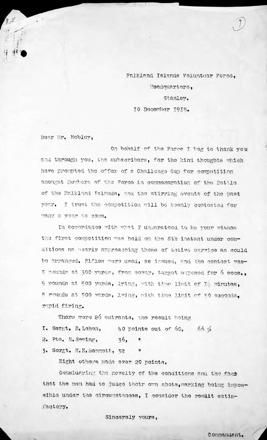Falkland Islands Volunteer Force, Headquarters, Stanley. 10 December I9I5«

Dear Mr. Hobley,

*u***.**

;•

On behalf of the Force I beg to thank you and through you, the subscribers, for the kind thoughts which have prompted the offer of <sup>a</sup> Challenge Cup for competition amongst Members of the Force in commemoration of the Battle of the Falkland Islands, and the stirring events of the past year. I trust the competition mill bo keenly contested for many a year to come.

In accordance with what I understood to be your wishes the first competition was held on the Sth instant under conditions as nearly approaching those of active service as could bo arranged. Rifles were used, as issued, and the contest was— 5 rounds at 300 yards, from cover, target exposed for 6 secs. <sup>9</sup> rounds at 500 yards, lying, with time limit of I-', minutes, 5 rounds at 500 yards, lying, with time limit of 30 seconds, rapid firing.

There were 26 entrants, the result being 1. Sergt. D. Lehon,  $\mu$ 0 points out of 60, 66  $\frac{1}{2}$ 2. Pte. K. Newing, 3. sergt• H\* E.Bennett, <sup>32</sup> *"* 36,

Eight others made over 20 points.

Considering the novelty of the conditions and the fact that the men had to judge their own shots,marking being Impossible under the circumstances, I consider the result satisfactory.

Sincerely yours,